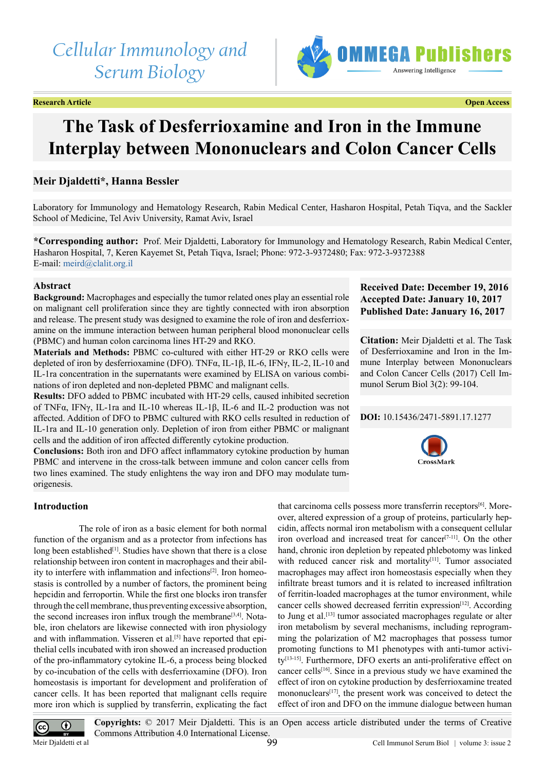

**Research Article Open Access**

# **The Task of Desferrioxamine and Iron in the Immune Interplay between Mononuclears and Colon Cancer Cells**

# **Meir Djaldetti\*, Hanna Bessler**

Laboratory for Immunology and Hematology Research, Rabin Medical Center, Hasharon Hospital, Petah Tiqva, and the Sackler School of Medicine, Tel Aviv University, Ramat Aviv, Israel

**\*Corresponding author:** Prof. Meir Djaldetti, Laboratory for Immunology and Hematology Research, Rabin Medical Center, Hasharon Hospital, 7, Keren Kayemet St, Petah Tiqva, Israel; Phone: 972-3-9372480; Fax: 972-3-9372388 E-mail: [meird@clalit.org.il](mailto:meird@clalit.org.il)

# **Abstract**

**Background:** Macrophages and especially the tumor related ones play an essential role on malignant cell proliferation since they are tightly connected with iron absorption and release. The present study was designed to examine the role of iron and desferrioxamine on the immune interaction between human peripheral blood mononuclear cells (PBMC) and human colon carcinoma lines HT-29 and RKO.

**Materials and Methods:** PBMC co-cultured with either HT-29 or RKO cells were depleted of iron by desferrioxamine (DFO). TNF $\alpha$ , IL-1 $\beta$ , IL-6, IFN $\gamma$ , IL-2, IL-10 and IL-1ra concentration in the supernatants were examined by ELISA on various combinations of iron depleted and non-depleted PBMC and malignant cells.

**Results:** DFO added to PBMC incubated with HT-29 cells, caused inhibited secretion of TNFα, IFNγ, IL-1ra and IL-10 whereas IL-1β, IL-6 and IL-2 production was not affected. Addition of DFO to PBMC cultured with RKO cells resulted in reduction of IL-1ra and IL-10 generation only. Depletion of iron from either PBMC or malignant cells and the addition of iron affected differently cytokine production.

**Conclusions:** Both iron and DFO affect inflammatory cytokine production by human PBMC and intervene in the cross-talk between immune and colon cancer cells from two lines examined. The study enlightens the way iron and DFO may modulate tumorigenesis.

# **Received Date: December 19, 2016 Accepted Date: January 10, 2017 Published Date: January 16, 2017**

**Citation:** Meir Djaldetti et al. The Task of Desferrioxamine and Iron in the Immune Interplay between Mononuclears and Colon Cancer Cells (2017) Cell Immunol Serum Biol 3(2): 99-104.

# **DOI:** [10.15436/2471-5891.17.1](http://www.dx.doi.org/10.15436/2471-5891.17.1277
)277



# **Introduction**

 The role of iron as a basic element for both normal function of the organism and as a protector from infections has long been established $[1]$ . Studies have shown that there is a close relationship between iron content in macrophages and their ability to interfere with inflammation and infections<sup>[2]</sup>. Iron homeostasis is controlled by a number of factors, the prominent being hepcidin and ferroportin. While the first one blocks iron transfer through the cell membrane, thus preventing excessive absorption, the second increases iron influx trough the membrane<sup>[3,4]</sup>. Notable, iron chelators are likewise connected with iron physiology and with inflammation. Visseren et al.<sup>[\[5\]](#page-5-3)</sup> have reported that epithelial cells incubated with iron showed an increased production of the pro-inflammatory cytokine IL-6, a process being blocked by co-incubation of the cells with desferrioxamine (DFO). Iron homeostasis is important for development and proliferation of cancer cells. It has been reported that malignant cells require more iron which is supplied by transferrin, explicating the fact

that carcinoma cells possess more transferrin receptors<sup>[\[6\]](#page-5-4)</sup>. Moreover, altered expression of a group of proteins, particularly hepcidin, affects normal iron metabolism with a consequent cellular iron overload and increased treat for cancer $[7-11]$ . On the other hand, chronic iron depletion by repeated phlebotomy was linked with reduced cancer risk and mortality<sup>[\[11\]](#page-5-6)</sup>. Tumor associated macrophages may affect iron homeostasis especially when they infiltrate breast tumors and it is related to increased infiltration of ferritin-loaded macrophages at the tumor environment, while cancer cells showed decreased ferritin expression<sup>[\[12\]](#page-5-7)</sup>. According to Jung et al.<sup>[13]</sup> tumor associated macrophages regulate or alter iron metabolism by several mechanisms, including reprogramming the polarization of M2 macrophages that possess tumor promoting functions to M1 phenotypes with anti-tumor activit[y\[13-15\].](#page-5-8) Furthermore, DFO exerts an anti-proliferative effect on cancer cells[\[16\]](#page-5-9). Since in a previous study we have examined the effect of iron on cytokine production by desferrioxamine treated mononuclears<sup>[\[17\]](#page-5-10)</sup>, the present work was conceived to detect the effect of iron and DFO on the immune dialogue between human



**Copyrights:** © 2017 Meir Djaldetti. This is an Open access article distributed under the terms of Creative Commons Attribution 4.0 International License. Meir Djaldetti et al 99 Cell Immunol Serum Biol | volume 3: issue 2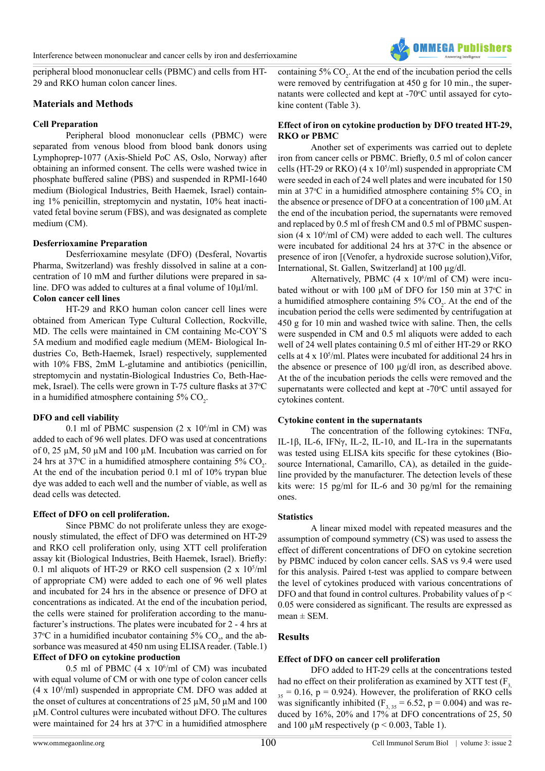

peripheral blood mononuclear cells (PBMC) and cells from HT-29 and RKO human colon cancer lines.

# **Materials and Methods**

# **Cell Preparation**

Peripheral blood mononuclear cells (PBMC) were separated from venous blood from blood bank donors using Lymphoprep-1077 (Axis-Shield PoC AS, Oslo, Norway) after obtaining an informed consent. The cells were washed twice in phosphate buffered saline (PBS) and suspended in RPMI-1640 medium (Biological Industries, Beith Haemek, Israel) containing 1% penicillin, streptomycin and nystatin, 10% heat inactivated fetal bovine serum (FBS), and was designated as complete medium (CM).

# **Desferrioxamine Preparation**

Desferrioxamine mesylate (DFO) (Desferal, Novartis Pharma, Switzerland) was freshly dissolved in saline at a concentration of 10 mM and further dilutions were prepared in saline. DFO was added to cultures at a final volume of 10µl/ml.

# **Colon cancer cell lines**

HT-29 and RKO human colon cancer cell lines were obtained from American Type Cultural Collection, Rockville, MD. The cells were maintained in CM containing Mc-COY'S 5A medium and modified eagle medium (MEM- Biological Industries Co, Beth-Haemek, Israel) respectively, supplemented with 10% FBS, 2mM L-glutamine and antibiotics (penicillin, streptomycin and nystatin-Biological Industries Co, Beth-Haemek, Israel). The cells were grown in T-75 culture flasks at 37°C in a humidified atmosphere containing  $5\%$  CO<sub>2</sub>.

# **DFO and cell viability**

0.1 ml of PBMC suspension  $(2 \times 10^6/\text{ml} \text{ in CM})$  was added to each of 96 well plates. DFO was used at concentrations of 0, 25 µM, 50 µM and 100 µM. Incubation was carried on for 24 hrs at 37°C in a humidified atmosphere containing 5%  $CO_2$ . At the end of the incubation period 0.1 ml of 10% trypan blue dye was added to each well and the number of viable, as well as dead cells was detected.

# **Effect of DFO on cell proliferation.**

Since PBMC do not proliferate unless they are exogenously stimulated, the effect of DFO was determined on HT-29 and RKO cell proliferation only, using XTT cell proliferation assay kit (Biological Industries, Beith Haemek, Israel). Briefly: 0.1 ml aliquots of HT-29 or RKO cell suspension  $(2 \times 10^5/m)$ of appropriate CM) were added to each one of 96 well plates and incubated for 24 hrs in the absence or presence of DFO at concentrations as indicated. At the end of the incubation period, the cells were stained for proliferation according to the manufacturer's instructions. The plates were incubated for 2 - 4 hrs at 37°C in a humidified incubator containing 5%  $CO_2$ , and the absorbance was measured at 450 nm using ELISA reader. (Table.1) **Effect of DFO on cytokine production**

0.5 ml of PBMC  $(4 \times 10^6/\text{ml of CM})$  was incubated with equal volume of CM or with one type of colon cancer cells  $(4 \times 10^{5}/\text{ml})$  suspended in appropriate CM. DFO was added at the onset of cultures at concentrations of 25  $\mu$ M, 50  $\mu$ M and 100 µM. Control cultures were incubated without DFO. The cultures were maintained for 24 hrs at  $37^{\circ}$ C in a humidified atmosphere

containing  $5\%$  CO<sub>2</sub>. At the end of the incubation period the cells were removed by centrifugation at 450 g for 10 min., the supernatants were collected and kept at -70°C until assayed for cytokine content (Table 3).

# **Effect of iron on cytokine production by DFO treated HT-29, RKO or PBMC**

Another set of experiments was carried out to deplete iron from cancer cells or PBMC. Briefly, 0.5 ml of colon cancer cells (HT-29 or RKO) (4  $x$  10<sup>5</sup>/ml) suspended in appropriate CM were seeded in each of 24 well plates and were incubated for 150 min at 37 $\degree$ C in a humidified atmosphere containing 5% CO<sub>2</sub> in the absence or presence of DFO at a concentration of 100 µM. At the end of the incubation period, the supernatants were removed and replaced by 0.5 ml of fresh CM and 0.5 ml of PBMC suspension (4 x 10<sup>6</sup>/ml of CM) were added to each well. The cultures were incubated for additional 24 hrs at  $37^{\circ}$ C in the absence or presence of iron [(Venofer, a hydroxide sucrose solution),Vifor, International, St. Gallen, Switzerland] at 100 µg/dl.

Alternatively, PBMC  $(4 \times 10^6/\text{ml of CM})$  were incubated without or with 100  $\mu$ M of DFO for 150 min at 37 $\degree$ C in a humidified atmosphere containing  $5\%$  CO<sub>2</sub>. At the end of the incubation period the cells were sedimented by centrifugation at 450 g for 10 min and washed twice with saline. Then, the cells were suspended in CM and 0.5 ml aliquots were added to each well of 24 well plates containing 0.5 ml of either HT-29 or RKO cells at  $4 \times 10^{5}$ /ml. Plates were incubated for additional 24 hrs in the absence or presence of 100 µg/dl iron, as described above. At the of the incubation periods the cells were removed and the supernatants were collected and kept at -70°C until assayed for cytokines content.

# **Cytokine content in the supernatants**

The concentration of the following cytokines: TNF $\alpha$ , IL-1β, IL-6, IFNγ, IL-2, IL-10, and IL-1ra in the supernatants was tested using ELISA kits specific for these cytokines (Biosource International, Camarillo, CA), as detailed in the guideline provided by the manufacturer. The detection levels of these kits were: 15 pg/ml for IL-6 and 30 pg/ml for the remaining ones.

# **Statistics**

A linear mixed model with repeated measures and the assumption of compound symmetry (CS) was used to assess the effect of different concentrations of DFO on cytokine secretion by PBMC induced by colon cancer cells. SAS vs 9.4 were used for this analysis. Paired t-test was applied to compare between the level of cytokines produced with various concentrations of DFO and that found in control cultures. Probability values of  $p <$ 0.05 were considered as significant. The results are expressed as  $mean \pm SEM$ .

# **Results**

# **Effect of DFO on cancer cell proliferation**

DFO added to HT-29 cells at the concentrations tested had no effect on their proliferation as examined by XTT test  $(F_3)$  $35 = 0.16$ , p = 0.924). However, the proliferation of RKO cells was significantly inhibited ( $F_{3, 35} = 6.52$ ,  $p = 0.004$ ) and was reduced by 16%, 20% and 17% at DFO concentrations of 25, 50 and 100  $\mu$ M respectively (p < 0.003, Table 1).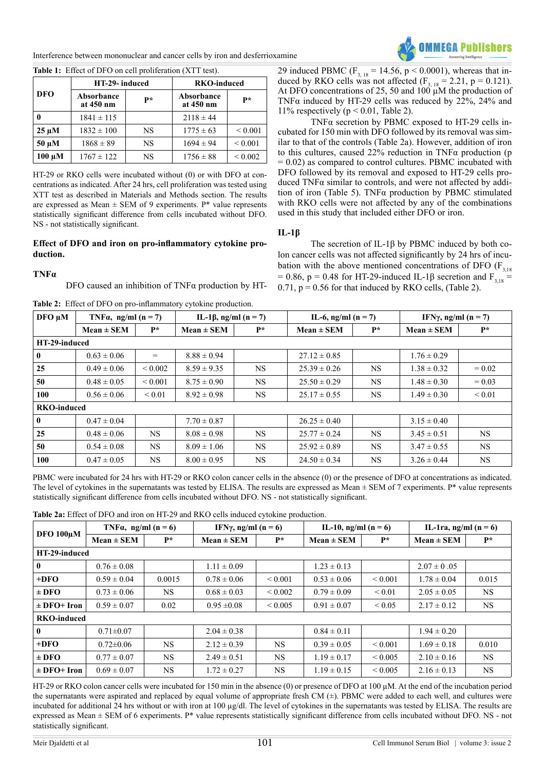Interference between mononuclear and cancer cells by iron and desferrioxamine



|             | <b>Table 1:</b> Effect of DFO on cell proliferation (XTT test).<br>HT-29- induced |    | <b>RKO-induced</b>      |              |  |  |
|-------------|-----------------------------------------------------------------------------------|----|-------------------------|--------------|--|--|
| <b>DFO</b>  | Absorbance<br>at 450 nm                                                           | p* | Absorbance<br>at 450 nm | P*           |  |  |
| 0           | $1841 \pm 115$                                                                    |    | $2118 \pm 44$           |              |  |  |
| $25 \mu M$  | $1832 \pm 100$                                                                    | NS | $1775 \pm 63$           | ${}_{0.001}$ |  |  |
| $50 \mu M$  | $1868 \pm 89$                                                                     | NS | $1694 \pm 94$           | ${}_{0.001}$ |  |  |
| $100 \mu M$ | $1767 \pm 122$                                                                    | NS | $1756 \pm 88$           | ${}_{0.002}$ |  |  |

**Table 1:** Effect of DFO on cell proliferation (XTT test).

HT-29 or RKO cells were incubated without (0) or with DFO at concentrations as indicated. After 24 hrs, cell proliferation was tested using XTT test as described in Materials and Methods section. The results are expressed as Mean  $\pm$  SEM of 9 experiments. P\* value represents statistically significant difference from cells incubated without DFO. NS - not statistically significant.

# **Effect of DFO and iron on pro-inflammatory cytokine production.**

# **TNFα**

DFO caused an inhibition of TNFα production by HT-

**Table 2:** Effect of DFO on pro-inflammatory cytokine production.

29 induced PBMC ( $F_{3, 18} = 14.56$ ,  $p < 0.0001$ ), whereas that induced by RKO cells was not affected  $(F_{3, 18} = 2.21, p = 0.121)$ . At DFO concentrations of 25, 50 and  $100 \mu$ M the production of TNF $\alpha$  induced by HT-29 cells was reduced by 22%, 24% and 11% respectively ( $p < 0.01$ , Table 2).

TNFα secretion by PBMC exposed to HT-29 cells incubated for 150 min with DFO followed by its removal was similar to that of the controls (Table 2a). However, addition of iron to this cultures, caused 22% reduction in TNFα production (p  $= 0.02$ ) as compared to control cultures. PBMC incubated with DFO followed by its removal and exposed to HT-29 cells produced TNFα similar to controls, and were not affected by addition of iron (Table 5). TNFα production by PBMC stimulated with RKO cells were not affected by any of the combinations used in this study that included either DFO or iron.

# **IL-1β**

The secretion of IL-1β by PBMC induced by both colon cancer cells was not affected significantly by 24 hrs of incubation with the above mentioned concentrations of DFO  $(F_{3,18})$ = 0.86, p = 0.48 for HT-29-induced IL-1 $\beta$  secretion and  $F_{3,18}$  =  $0.71$ ,  $p = 0.56$  for that induced by RKO cells, (Table 2).

| $DFO \mu M$        | TNF $\alpha$ , ng/ml (n = 7) |              | IL-1 $\beta$ , ng/ml (n = 7) |           | IL-6, $ng/ml (n = 7)$ |           | IFN $\gamma$ , ng/ml (n = 7) |             |
|--------------------|------------------------------|--------------|------------------------------|-----------|-----------------------|-----------|------------------------------|-------------|
|                    | $Mean \pm SEM$               | $P*$         | $Mean \pm SEM$               | $P*$      | $Mean \pm SEM$        | $P^*$     | $Mean \pm SEM$               | P*          |
| HT-29-induced      |                              |              |                              |           |                       |           |                              |             |
| $\bf{0}$           | $0.63 \pm 0.06$              | $=$          | $8.88 \pm 0.94$              |           | $27.12 \pm 0.85$      |           | $1.76 \pm 0.29$              |             |
| 25                 | $0.49 \pm 0.06$              | ${}_{0.002}$ | $8.59 \pm 9.35$              | <b>NS</b> | $25.39 \pm 0.26$      | <b>NS</b> | $1.38 \pm 0.32$              | $= 0.02$    |
| 50                 | $0.48 \pm 0.05$              | ${}_{0.001}$ | $8.75 \pm 0.90$              | <b>NS</b> | $25.50 \pm 0.29$      | <b>NS</b> | $1.48 \pm 0.30$              | $= 0.03$    |
| 100                | $0.56 \pm 0.06$              | ${}_{0.01}$  | $8.92 \pm 0.98$              | <b>NS</b> | $25.17 \pm 0.55$      | <b>NS</b> | $1.49 \pm 0.30$              | ${}_{0.01}$ |
| <b>RKO-induced</b> |                              |              |                              |           |                       |           |                              |             |
| $\mathbf{0}$       | $0.47 \pm 0.04$              |              | $7.70 \pm 0.87$              |           | $26.25 \pm 0.40$      |           | $3.15 \pm 0.40$              |             |
| 25                 | $0.48 \pm 0.06$              | <b>NS</b>    | $8.08 \pm 0.98$              | <b>NS</b> | $25.77 \pm 0.24$      | <b>NS</b> | $3.45 \pm 0.51$              | <b>NS</b>   |
| 50                 | $0.54 \pm 0.08$              | NS.          | $8.09 \pm 1.06$              | <b>NS</b> | $25.92 \pm 0.89$      | <b>NS</b> | $3.47 \pm 0.55$              | NS.         |
| 100                | $0.47 \pm 0.05$              | <b>NS</b>    | $8.00 \pm 0.95$              | <b>NS</b> | $24.50 \pm 0.34$      | <b>NS</b> | $3.26 \pm 0.44$              | <b>NS</b>   |

PBMC were incubated for 24 hrs with HT-29 or RKO colon cancer cells in the absence (0) or the presence of DFO at concentrations as indicated. The level of cytokines in the supernatants was tested by ELISA. The results are expressed as Mean  $\pm$  SEM of 7 experiments. P\* value represents statistically significant difference from cells incubated without DFO. NS - not statistically significant.

**Table 2a:** Effect of DFO and iron on HT-29 and RKO cells induced cytokine production.

| DFO 100µM          | TNF $\alpha$ , ng/ml (n = 6) |           | IFN $\gamma$ , ng/ml (n = 6) |              | IL-10, ng/ml ( $n = 6$ ) |                   | IL-1ra, ng/ml $(n = 6)$ |           |
|--------------------|------------------------------|-----------|------------------------------|--------------|--------------------------|-------------------|-------------------------|-----------|
|                    | $Mean \pm SEM$               | $P*$      | $Mean \pm SEM$               | $P^*$        | $Mean \pm SEM$           | $P*$              | $Mean \pm SEM$          | $P*$      |
|                    | HT-29-induced                |           |                              |              |                          |                   |                         |           |
| $\mathbf{0}$       | $0.76 \pm 0.08$              |           | $1.11 \pm 0.09$              |              | $1.23 \pm 0.13$          |                   | $2.07 \pm 0.05$         |           |
| $+DFO$             | $0.59 \pm 0.04$              | 0.0015    | $0.78 \pm 0.06$              | ${}_{0.001}$ | $0.53 \pm 0.06$          | ${}_{0.001}$      | $1.78 \pm 0.04$         | 0.015     |
| $\pm$ DFO          | $0.73 \pm 0.06$              | NS.       | $0.68 \pm 0.03$              | ${}_{0.002}$ | $0.79 \pm 0.09$          | ${}_{0.01}$       | $2.05 \pm 0.05$         | <b>NS</b> |
| $\pm$ DFO+ Iron    | $0.59 \pm 0.07$              | 0.02      | $0.95 \pm 0.08$              | ${}_{0.005}$ | $0.91 \pm 0.07$          | ${}_{0.05}$       | $2.17 \pm 0.12$         | <b>NS</b> |
| <b>RKO-induced</b> |                              |           |                              |              |                          |                   |                         |           |
| $\mathbf{0}$       | $0.71 \pm 0.07$              |           | $2.04 \pm 0.38$              |              | $0.84 \pm 0.11$          |                   | $1.94 \pm 0.20$         |           |
| $+DFO$             | $0.72 \pm 0.06$              | NS.       | $2.12 \pm 0.39$              | <b>NS</b>    | $0.39 \pm 0.05$          | ${}_{0.001}$      | $1.69 \pm 0.18$         | 0.010     |
| $\pm$ DFO          | $0.77 \pm 0.07$              | <b>NS</b> | $2.49 \pm 0.51$              | NS.          | $1.19 \pm 0.17$          | ${}_{0.005}$      | $2.10 \pm 0.16$         | <b>NS</b> |
| $\pm$ DFO+ Iron    | $0.69 \pm 0.07$              | <b>NS</b> | $1.72 \pm 0.27$              | NS.          | $1.19 \pm 0.15$          | ${}_{\leq 0.005}$ | $2.16 \pm 0.13$         | <b>NS</b> |

HT-29 or RKO colon cancer cells were incubated for 150 min in the absence (0) or presence of DFO at 100  $\mu$ M. At the end of the incubation period the supernatants were aspirated and replaced by equal volume of appropriate fresh CM  $(±)$ . PBMC were added to each well, and cultures were incubated for additional 24 hrs without or with iron at 100 µg/dl. The level of cytokines in the supernatants was tested by ELISA. The results are expressed as Mean ± SEM of 6 experiments. P\* value represents statistically significant difference from cells incubated without DFO. NS - not statistically significant.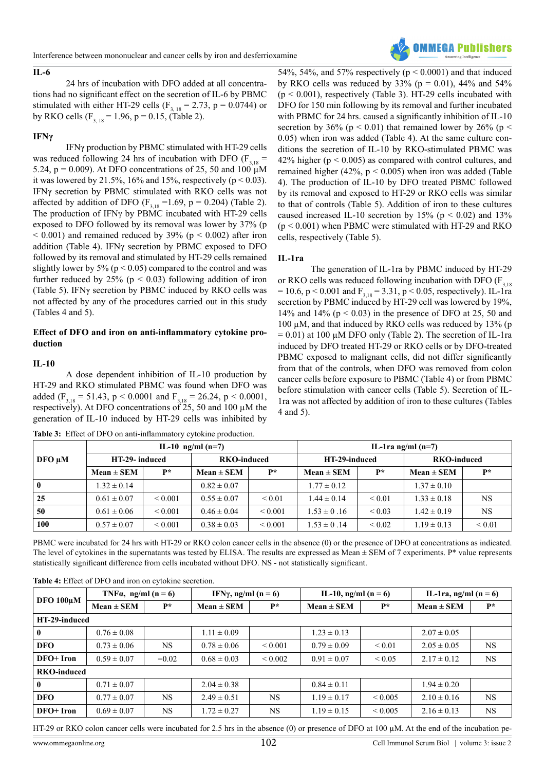

#### **IL-6**

24 hrs of incubation with DFO added at all concentrations had no significant effect on the secretion of IL-6 by PBMC stimulated with either HT-29 cells ( $F_{3.18} = 2.73$ , p = 0.0744) or by RKO cells  $(F_{3, 18} = 1.96, p = 0.15,$  (Table 2).

### **IFNγ**

IFNγ production by PBMC stimulated with HT-29 cells was reduced following 24 hrs of incubation with DFO ( $F_{3,18}$  = 5.24,  $p = 0.009$ ). At DFO concentrations of 25, 50 and 100  $\mu$ M it was lowered by 21.5%, 16% and 15%, respectively ( $p < 0.03$ ). IFNγ secretion by PBMC stimulated with RKO cells was not affected by addition of DFO  $(F_{3,18} = 1.69, p = 0.204)$  (Table 2). The production of IFNγ by PBMC incubated with HT-29 cells exposed to DFO followed by its removal was lower by 37% (p  $< 0.001$ ) and remained reduced by 39% (p  $< 0.002$ ) after iron addition (Table 4). IFNγ secretion by PBMC exposed to DFO followed by its removal and stimulated by HT-29 cells remained slightly lower by 5% ( $p < 0.05$ ) compared to the control and was further reduced by 25% ( $p < 0.03$ ) following addition of iron (Table 5). IFNγ secretion by PBMC induced by RKO cells was not affected by any of the procedures carried out in this study (Tables 4 and 5).

## **Effect of DFO and iron on anti-inflammatory cytokine production**

#### **IL-10**

A dose dependent inhibition of IL-10 production by HT-29 and RKO stimulated PBMC was found when DFO was added (F<sub>3,18</sub> = 51.43, p < 0.0001 and F<sub>3,18</sub> = 26.24, p < 0.0001, respectively). At DFO concentrations of 25, 50 and 100 µM the generation of IL-10 induced by HT-29 cells was inhibited by

**Table 3:** Effect of DFO on anti-inflammatory cytokine production.

54%, 54%, and 57% respectively ( $p < 0.0001$ ) and that induced by RKO cells was reduced by 33% ( $p = 0.01$ ), 44% and 54%  $(p < 0.001)$ , respectively (Table 3). HT-29 cells incubated with DFO for 150 min following by its removal and further incubated with PBMC for 24 hrs. caused a significantly inhibition of IL-10 secretion by 36% ( $p < 0.01$ ) that remained lower by 26% ( $p <$ 0.05) when iron was added (Table 4). At the same culture conditions the secretion of IL-10 by RKO-stimulated PBMC was 42% higher ( $p < 0.005$ ) as compared with control cultures, and remained higher (42%,  $p < 0.005$ ) when iron was added (Table 4). The production of IL-10 by DFO treated PBMC followed by its removal and exposed to HT-29 or RKO cells was similar to that of controls (Table 5). Addition of iron to these cultures caused increased IL-10 secretion by 15% ( $p < 0.02$ ) and 13%  $(p < 0.001)$  when PBMC were stimulated with HT-29 and RKO cells, respectively (Table 5).

#### **IL-1ra**

The generation of IL-1ra by PBMC induced by HT-29 or RKO cells was reduced following incubation with DFO  $(F_{3,18})$ = 10.6, p < 0.001 and  $F_{3,18}$  = 3.31, p < 0.05, respectively). IL-1ra secretion by PBMC induced by HT-29 cell was lowered by 19%, 14% and 14% ( $p < 0.03$ ) in the presence of DFO at 25, 50 and 100 µM, and that induced by RKO cells was reduced by 13% (p  $= 0.01$ ) at 100 µM DFO only (Table 2). The secretion of IL-1ra induced by DFO treated HT-29 or RKO cells or by DFO-treated PBMC exposed to malignant cells, did not differ significantly from that of the controls, when DFO was removed from colon cancer cells before exposure to PBMC (Table 4) or from PBMC before stimulation with cancer cells (Table 5). Secretion of IL-1ra was not affected by addition of iron to these cultures (Tables 4 and 5).

|              |                                     |              | IL-10 $\text{ng/ml (n=7)}$ |                | IL-1ra ng/ml $(n=7)$ |             |                 |                |
|--------------|-------------------------------------|--------------|----------------------------|----------------|----------------------|-------------|-----------------|----------------|
| $DFO \mu M$  | HT-29-induced<br><b>RKO-induced</b> |              | HT-29-induced              |                | <b>RKO-induced</b>   |             |                 |                |
|              | $Mean \pm SEM$                      | $P^*$        | $Mean \pm SEM$             | $\mathbf{p} *$ | $Mean \pm SEM$       | $P*$        | $Mean \pm SEM$  | $\mathbf{p}$ * |
| $\mathbf{0}$ | $1.32 \pm 0.14$                     |              | $0.82 \pm 0.07$            |                | $1.77 \pm 0.12$      |             | $1.37 \pm 0.10$ |                |
| 25           | $0.61 \pm 0.07$                     | ${}_{0.001}$ | $0.55 \pm 0.07$            | ${}_{0.01}$    | $1.44 \pm 0.14$      | ${}_{0.01}$ | $1.33 \pm 0.18$ | <b>NS</b>      |
| 50           | $0.61 \pm 0.06$                     | ${}_{0.001}$ | $0.46 \pm 0.04$            | ${}_{0.001}$   | $1.53 \pm 0.16$      | ${}_{0.03}$ | $1.42 \pm 0.19$ | <b>NS</b>      |
| 100          | $0.57 \pm 0.07$                     | ${}_{0.001}$ | $0.38 \pm 0.03$            | ${}_{0.001}$   | $1.53 \pm 0.14$      | ${}< 0.02$  | $1.19 \pm 0.13$ | ${}_{0.01}$    |

PBMC were incubated for 24 hrs with HT-29 or RKO colon cancer cells in the absence (0) or the presence of DFO at concentrations as indicated. The level of cytokines in the supernatants was tested by ELISA. The results are expressed as Mean  $\pm$  SEM of 7 experiments. P\* value represents statistically significant difference from cells incubated without DFO. NS - not statistically significant.

| Table 4: Effect of DFO and iron on cytokine secretion. |  |  |  |
|--------------------------------------------------------|--|--|--|
|--------------------------------------------------------|--|--|--|

|                    | TNF $\alpha$ , ng/ml (n = 6) |           | IFN $\gamma$ , ng/ml (n = 6) |                   | IL-10, ng/ml (n = 6) |              |                 | IL-1ra, ng/ml $(n = 6)$ |  |
|--------------------|------------------------------|-----------|------------------------------|-------------------|----------------------|--------------|-----------------|-------------------------|--|
| DFO $100\mu$ M     | $Mean \pm SEM$               | $P^*$     | $Mean \pm SEM$               | $P^*$             | $Mean \pm SEM$       | $P*$         | $Mean \pm SEM$  | $P^*$                   |  |
| HT-29-induced      |                              |           |                              |                   |                      |              |                 |                         |  |
| $\overline{0}$     | $0.76 \pm 0.08$              |           | $1.11 \pm 0.09$              |                   | $1.23 \pm 0.13$      |              | $2.07 \pm 0.05$ |                         |  |
| <b>DFO</b>         | $0.73 \pm 0.06$              | <b>NS</b> | $0.78 \pm 0.06$              | ${}_{0.001}$      | $0.79 \pm 0.09$      | ${}_{0.01}$  | $2.05 \pm 0.05$ | <b>NS</b>               |  |
| DFO+ Iron          | $0.59 \pm 0.07$              | $=0.02$   | $0.68 \pm 0.03$              | ${}_{\leq 0.002}$ | $0.91 \pm 0.07$      | ${}_{0.05}$  | $2.17 \pm 0.12$ | <b>NS</b>               |  |
| <b>RKO-induced</b> |                              |           |                              |                   |                      |              |                 |                         |  |
| $\mathbf{0}$       | $0.71 \pm 0.07$              |           | $2.04 \pm 0.38$              |                   | $0.84 \pm 0.11$      |              | $1.94 \pm 0.20$ |                         |  |
| <b>DFO</b>         | $0.77 \pm 0.07$              | <b>NS</b> | $2.49 \pm 0.51$              | <b>NS</b>         | $1.19 \pm 0.17$      | ${}_{0.005}$ | $2.10 \pm 0.16$ | <b>NS</b>               |  |
| DFO+ Iron          | $0.69 \pm 0.07$              | <b>NS</b> | $1.72 \pm 0.27$              | <b>NS</b>         | $1.19 \pm 0.15$      | ${}_{0.005}$ | $2.16 \pm 0.13$ | <b>NS</b>               |  |

HT-29 or RKO colon cancer cells were incubated for 2.5 hrs in the absence (0) or presence of DFO at 100  $\mu$ M. At the end of the incubation pe-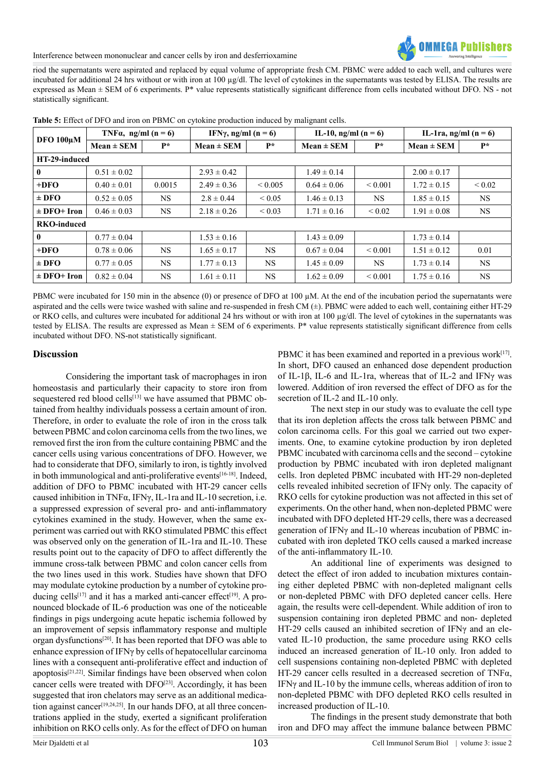#### Interference between mononuclear and cancer cells by iron and desferrioxamine

riod the supernatants were aspirated and replaced by equal volume of appropriate fresh CM. PBMC were added to each well, and cultures were incubated for additional 24 hrs without or with iron at 100 µg/dl. The level of cytokines in the supernatants was tested by ELISA. The results are expressed as Mean ± SEM of 6 experiments. P\* value represents statistically significant difference from cells incubated without DFO. NS - not statistically significant.

| DFO 100µM          | TNF $\alpha$ , ng/ml (n = 6) |           | IFN $\gamma$ , ng/ml (n = 6) |              | IL-10, ng/ml $(n = 6)$ |              | IL-1ra, ng/ml $(n = 6)$ |            |  |
|--------------------|------------------------------|-----------|------------------------------|--------------|------------------------|--------------|-------------------------|------------|--|
|                    | $Mean \pm SEM$               | $P*$      | $Mean \pm SEM$               | $P*$         | $Mean \pm SEM$         | $P^*$        | $Mean \pm SEM$          | $P^*$      |  |
|                    | HT-29-induced                |           |                              |              |                        |              |                         |            |  |
| $\mathbf{0}$       | $0.51 \pm 0.02$              |           | $2.93 \pm 0.42$              |              | $1.49 \pm 0.14$        |              | $2.00 \pm 0.17$         |            |  |
| $+DFO$             | $0.40 \pm 0.01$              | 0.0015    | $2.49 \pm 0.36$              | ${}_{0.005}$ | $0.64 \pm 0.06$        | ${}_{0.001}$ | $1.72 \pm 0.15$         | ${}< 0.02$ |  |
| $\pm$ DFO          | $0.52 \pm 0.05$              | NS.       | $2.8 \pm 0.44$               | ${}_{0.05}$  | $1.46 \pm 0.13$        | NS.          | $1.85 \pm 0.15$         | NS.        |  |
| $\pm$ DFO+ Iron    | $0.46 \pm 0.03$              | <b>NS</b> | $2.18 \pm 0.26$              | ${}_{0.03}$  | $1.71 \pm 0.16$        | ${}< 0.02$   | $1.91 \pm 0.08$         | NS.        |  |
| <b>RKO-induced</b> |                              |           |                              |              |                        |              |                         |            |  |
| $\mathbf{0}$       | $0.77 \pm 0.04$              |           | $1.53 \pm 0.16$              |              | $1.43 \pm 0.09$        |              | $1.73 \pm 0.14$         |            |  |
| $+DFO$             | $0.78 \pm 0.06$              | <b>NS</b> | $1.65 \pm 0.17$              | <b>NS</b>    | $0.67 \pm 0.04$        | ${}_{0.001}$ | $1.51 \pm 0.12$         | 0.01       |  |
| $\pm$ DFO          | $0.77 \pm 0.05$              | <b>NS</b> | $1.77 \pm 0.13$              | <b>NS</b>    | $1.45 \pm 0.09$        | <b>NS</b>    | $1.73 \pm 0.14$         | <b>NS</b>  |  |
| $\pm$ DFO+ Iron    | $0.82 \pm 0.04$              | <b>NS</b> | $1.61 \pm 0.11$              | <b>NS</b>    | $1.62 \pm 0.09$        | ${}_{0.001}$ | $1.75 \pm 0.16$         | <b>NS</b>  |  |

|  | Table 5: Effect of DFO and iron on PBMC on cytokine production induced by malignant cells. |  |  |  |  |
|--|--------------------------------------------------------------------------------------------|--|--|--|--|
|--|--------------------------------------------------------------------------------------------|--|--|--|--|

PBMC were incubated for 150 min in the absence (0) or presence of DFO at 100  $\mu$ M. At the end of the incubation period the supernatants were aspirated and the cells were twice washed with saline and re-suspended in fresh CM (±). PBMC were added to each well, containing either HT-29 or RKO cells, and cultures were incubated for additional 24 hrs without or with iron at 100 µg/dl. The level of cytokines in the supernatants was tested by ELISA. The results are expressed as Mean  $\pm$  SEM of 6 experiments. P\* value represents statistically significant difference from cells incubated without DFO. NS-not statistically significant.

# **Discussion**

Considering the important task of macrophages in iron homeostasis and particularly their capacity to store iron from sequestered red blood cells<sup>[\[13\]](#page-5-8)</sup> we have assumed that PBMC obtained from healthy individuals possess a certain amount of iron. Therefore, in order to evaluate the role of iron in the cross talk between PBMC and colon carcinoma cells from the two lines, we removed first the iron from the culture containing PBMC and the cancer cells using various concentrations of DFO. However, we had to considerate that DFO, similarly to iron, is tightly involved in both immunological and anti-proliferative events[\[16-18\]](#page-5-9). Indeed, addition of DFO to PBMC incubated with HT-29 cancer cells caused inhibition in TNFα, IFNγ, IL-1ra and IL-10 secretion, i.e. a suppressed expression of several pro- and anti-inflammatory cytokines examined in the study. However, when the same experiment was carried out with RKO stimulated PBMC this effect was observed only on the generation of IL-1ra and IL-10. These results point out to the capacity of DFO to affect differently the immune cross-talk between PBMC and colon cancer cells from the two lines used in this work. Studies have shown that DFO may modulate cytokine production by a number of cytokine pro-ducing cells<sup>[\[17\]](#page-5-10)</sup> and it has a marked anti-cancer effect<sup>[\[19\]](#page-5-11)</sup>. A pronounced blockade of IL-6 production was one of the noticeable findings in pigs undergoing acute hepatic ischemia followed by an improvement of sepsis inflammatory response and multiple organ dysfunction[s\[20\].](#page-5-12) It has been reported that DFO was able to enhance expression of IFNγ by cells of hepatocellular carcinoma lines with a consequent anti-proliferative effect and induction of apoptosis<sup>[\[21,22\]](#page-5-13)</sup>. Similar findings have been observed when colon cancer cells were treated with DFO<sup>[23]</sup>. Accordingly, it has been suggested that iron chelators may serve as an additional medication against cancer<sup>[19,24,25]</sup>. In our hands DFO, at all three concentrations applied in the study, exerted a significant proliferation inhibition on RKO cells only. As for the effect of DFO on human

PBMC it has been examined and reported in a previous work $[17]$ . In short, DFO caused an enhanced dose dependent production of IL-1β, IL-6 and IL-1ra, whereas that of IL-2 and IFNγ was lowered. Addition of iron reversed the effect of DFO as for the secretion of IL-2 and IL-10 only.

The next step in our study was to evaluate the cell type that its iron depletion affects the cross talk between PBMC and colon carcinoma cells. For this goal we carried out two experiments. One, to examine cytokine production by iron depleted PBMC incubated with carcinoma cells and the second – cytokine production by PBMC incubated with iron depleted malignant cells. Iron depleted PBMC incubated with HT-29 non-depleted cells revealed inhibited secretion of IFNγ only. The capacity of RKO cells for cytokine production was not affected in this set of experiments. On the other hand, when non-depleted PBMC were incubated with DFO depleted HT-29 cells, there was a decreased generation of IFNγ and IL-10 whereas incubation of PBMC incubated with iron depleted TKO cells caused a marked increase of the anti-inflammatory IL-10.

An additional line of experiments was designed to detect the effect of iron added to incubation mixtures containing either depleted PBMC with non-depleted malignant cells or non-depleted PBMC with DFO depleted cancer cells. Here again, the results were cell-dependent. While addition of iron to suspension containing iron depleted PBMC and non- depleted HT-29 cells caused an inhibited secretion of IFNγ and an elevated IL-10 production, the same procedure using RKO cells induced an increased generation of IL-10 only. Iron added to cell suspensions containing non-depleted PBMC with depleted HT-29 cancer cells resulted in a decreased secretion of TNFα, IFNγ and IL-10 by the immune cells, whereas addition of iron to non-depleted PBMC with DFO depleted RKO cells resulted in increased production of IL-10.

The findings in the present study demonstrate that both iron and DFO may affect the immune balance between PBMC